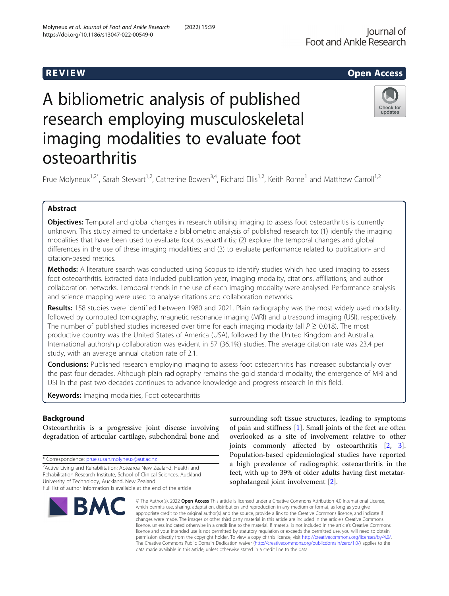# R EVI EW Open Access

# Check for updates

# osteoarthritis

A bibliometric analysis of published

research employing musculoskeletal

imaging modalities to evaluate foot

Prue Molyneux<sup>1,2\*</sup>, Sarah Stewart<sup>1,2</sup>, Catherine Bowen<sup>3,4</sup>, Richard Ellis<sup>1,2</sup>, Keith Rome<sup>1</sup> and Matthew Carroll<sup>1,2</sup>

# Abstract

**Objectives:** Temporal and global changes in research utilising imaging to assess foot osteoarthritis is currently unknown. This study aimed to undertake a bibliometric analysis of published research to: (1) identify the imaging modalities that have been used to evaluate foot osteoarthritis; (2) explore the temporal changes and global differences in the use of these imaging modalities; and (3) to evaluate performance related to publication- and citation-based metrics.

Methods: A literature search was conducted using Scopus to identify studies which had used imaging to assess foot osteoarthritis. Extracted data included publication year, imaging modality, citations, affiliations, and author collaboration networks. Temporal trends in the use of each imaging modality were analysed. Performance analysis and science mapping were used to analyse citations and collaboration networks.

Results: 158 studies were identified between 1980 and 2021. Plain radiography was the most widely used modality, followed by computed tomography, magnetic resonance imaging (MRI) and ultrasound imaging (USI), respectively. The number of published studies increased over time for each imaging modality (all  $P \ge 0.018$ ). The most productive country was the United States of America (USA), followed by the United Kingdom and Australia. International authorship collaboration was evident in 57 (36.1%) studies. The average citation rate was 23.4 per study, with an average annual citation rate of 2.1.

**Conclusions:** Published research employing imaging to assess foot osteoarthritis has increased substantially over the past four decades. Although plain radiography remains the gold standard modality, the emergence of MRI and USI in the past two decades continues to advance knowledge and progress research in this field.

Keywords: Imaging modalities, Foot osteoarthritis

# Background

Osteoarthritis is a progressive joint disease involving degradation of articular cartilage, subchondral bone and

\* Correspondence: [prue.susan.molyneux@aut.ac.nz](mailto:prue.susan.molyneux@aut.ac.nz)

<sup>&</sup>lt;sup>2</sup> Active Living and Rehabilitation: Aotearoa New Zealand, Health and Rehabilitation Research Institute, School of Clinical Sciences, Auckland University of Technology, Auckland, New Zealand Full list of author information is available at the end of the article



surrounding soft tissue structures, leading to symptoms of pain and stiffness [\[1\]](#page-8-0). Small joints of the feet are often overlooked as a site of involvement relative to other joints commonly affected by osteoarthritis [[2](#page-8-0), [3](#page-8-0)]. Population-based epidemiological studies have reported a high prevalence of radiographic osteoarthritis in the feet, with up to 39% of older adults having first metatarsophalangeal joint involvement [[2\]](#page-8-0).

© The Author(s), 2022 **Open Access** This article is licensed under a Creative Commons Attribution 4.0 International License, which permits use, sharing, adaptation, distribution and reproduction in any medium or format, as long as you give appropriate credit to the original author(s) and the source, provide a link to the Creative Commons licence, and indicate if changes were made. The images or other third party material in this article are included in the article's Creative Commons licence, unless indicated otherwise in a credit line to the material. If material is not included in the article's Creative Commons licence and your intended use is not permitted by statutory regulation or exceeds the permitted use, you will need to obtain permission directly from the copyright holder. To view a copy of this licence, visit [http://creativecommons.org/licenses/by/4.0/.](http://creativecommons.org/licenses/by/4.0/) The Creative Commons Public Domain Dedication waiver [\(http://creativecommons.org/publicdomain/zero/1.0/](http://creativecommons.org/publicdomain/zero/1.0/)) applies to the data made available in this article, unless otherwise stated in a credit line to the data.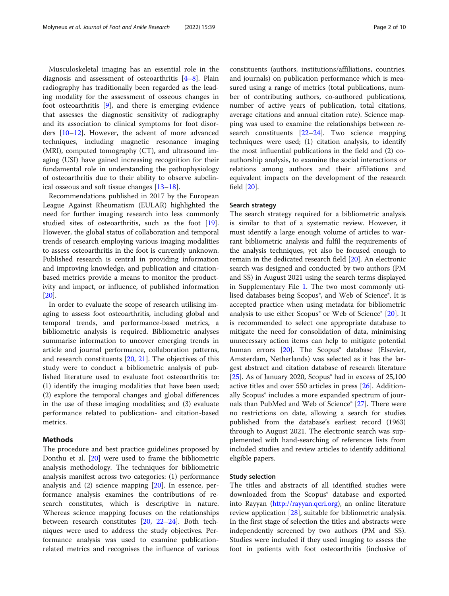Musculoskeletal imaging has an essential role in the diagnosis and assessment of osteoarthritis [\[4](#page-8-0)–[8\]](#page-8-0). Plain radiography has traditionally been regarded as the leading modality for the assessment of osseous changes in foot osteoarthritis [[9\]](#page-8-0), and there is emerging evidence that assesses the diagnostic sensitivity of radiography and its association to clinical symptoms for foot disorders [\[10](#page-8-0)–[12\]](#page-8-0). However, the advent of more advanced techniques, including magnetic resonance imaging (MRI), computed tomography (CT), and ultrasound imaging (USI) have gained increasing recognition for their fundamental role in understanding the pathophysiology of osteoarthritis due to their ability to observe subclinical osseous and soft tissue changes [\[13](#page-8-0)–[18\]](#page-8-0).

Recommendations published in 2017 by the European League Against Rheumatism (EULAR) highlighted the need for further imaging research into less commonly studied sites of osteoarthritis, such as the foot [\[19](#page-8-0)]. However, the global status of collaboration and temporal trends of research employing various imaging modalities to assess osteoarthritis in the foot is currently unknown. Published research is central in providing information and improving knowledge, and publication and citationbased metrics provide a means to monitor the productivity and impact, or influence, of published information [[20\]](#page-8-0).

In order to evaluate the scope of research utilising imaging to assess foot osteoarthritis, including global and temporal trends, and performance-based metrics, a bibliometric analysis is required. Bibliometric analyses summarise information to uncover emerging trends in article and journal performance, collaboration patterns, and research constituents [\[20](#page-8-0), [21](#page-8-0)]. The objectives of this study were to conduct a bibliometric analysis of published literature used to evaluate foot osteoarthritis to: (1) identify the imaging modalities that have been used; (2) explore the temporal changes and global differences in the use of these imaging modalities; and (3) evaluate performance related to publication- and citation-based metrics.

# Methods

The procedure and best practice guidelines proposed by Donthu et al. [\[20](#page-8-0)] were used to frame the bibliometric analysis methodology. The techniques for bibliometric analysis manifest across two categories: (1) performance analysis and (2) science mapping [\[20\]](#page-8-0). In essence, performance analysis examines the contributions of research constitutes, which is descriptive in nature. Whereas science mapping focuses on the relationships between research constitutes [[20,](#page-8-0) [22](#page-8-0)–[24](#page-8-0)]. Both techniques were used to address the study objectives. Performance analysis was used to examine publicationrelated metrics and recognises the influence of various

constituents (authors, institutions/affiliations, countries, and journals) on publication performance which is measured using a range of metrics (total publications, number of contributing authors, co-authored publications, number of active years of publication, total citations, average citations and annual citation rate). Science mapping was used to examine the relationships between research constituents [[22](#page-8-0)–[24](#page-8-0)]. Two science mapping techniques were used; (1) citation analysis, to identify the most influential publications in the field and (2) coauthorship analysis, to examine the social interactions or relations among authors and their affiliations and equivalent impacts on the development of the research field [\[20](#page-8-0)].

# Search strategy

The search strategy required for a bibliometric analysis is similar to that of a systematic review. However, it must identify a large enough volume of articles to warrant bibliometric analysis and fulfil the requirements of the analysis techniques, yet also be focused enough to remain in the dedicated research field [\[20](#page-8-0)]. An electronic search was designed and conducted by two authors (PM and SS) in August 2021 using the search terms displayed in Supplementary File [1](#page-7-0). The two most commonly utilised databases being Scopus®, and Web of Science®. It is accepted practice when using metadata for bibliometric analysis to use either Scopus<sup>®</sup> or Web of Science<sup>®</sup> [[20\]](#page-8-0). It is recommended to select one appropriate database to mitigate the need for consolidation of data, minimising unnecessary action items can help to mitigate potential human errors [\[20](#page-8-0)]. The Scopus<sup>®</sup> database (Elsevier, Amsterdam, Netherlands) was selected as it has the largest abstract and citation database of research literature [ $25$ ]. As of January 2020, Scopus<sup>®</sup> had in excess of  $25,100$ active titles and over 550 articles in press [[26](#page-8-0)]. Additionally Scopus<sup>®</sup> includes a more expanded spectrum of jour-nals than PubMed and Web of Science® [[27\]](#page-8-0). There were no restrictions on date, allowing a search for studies published from the database's earliest record (1963) through to August 2021. The electronic search was supplemented with hand-searching of references lists from included studies and review articles to identify additional eligible papers.

# Study selection

The titles and abstracts of all identified studies were downloaded from the Scopus® database and exported into Rayyan (<http://rayyan.qcri.org>), an online literature review application [\[28](#page-8-0)], suitable for bibliometric analysis. In the first stage of selection the titles and abstracts were independently screened by two authors (PM and SS). Studies were included if they used imaging to assess the foot in patients with foot osteoarthritis (inclusive of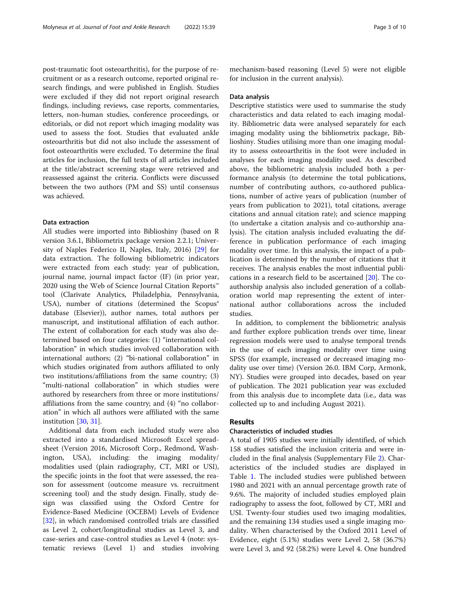post-traumatic foot osteoarthritis), for the purpose of recruitment or as a research outcome, reported original research findings, and were published in English. Studies were excluded if they did not report original research findings, including reviews, case reports, commentaries, letters, non-human studies, conference proceedings, or editorials, or did not report which imaging modality was used to assess the foot. Studies that evaluated ankle osteoarthritis but did not also include the assessment of foot osteoarthritis were excluded. To determine the final articles for inclusion, the full texts of all articles included at the title/abstract screening stage were retrieved and reassessed against the criteria. Conflicts were discussed between the two authors (PM and SS) until consensus was achieved.

# Data extraction

All studies were imported into Biblioshiny (based on R version 3.6.1, Bibliometrix package version 2.2.1; University of Naples Federico II, Naples, Italy, 2016) [\[29](#page-8-0)] for data extraction. The following bibliometric indicators were extracted from each study: year of publication, journal name, journal impact factor (IF) (in prior year, 2020 using the Web of Science Journal Citation Reports™ tool (Clarivate Analytics, Philadelphia, Pennsylvania, USA), number of citations (determined the Scopus® database (Elsevier)), author names, total authors per manuscript, and institutional affiliation of each author. The extent of collaboration for each study was also determined based on four categories: (1) "international collaboration" in which studies involved collaboration with international authors; (2) "bi-national collaboration" in which studies originated from authors affiliated to only two institutions/affiliations from the same country; (3) "multi-national collaboration" in which studies were authored by researchers from three or more institutions/ affiliations from the same country; and (4) "no collaboration" in which all authors were affiliated with the same institution [\[30,](#page-8-0) [31\]](#page-8-0).

Additional data from each included study were also extracted into a standardised Microsoft Excel spreadsheet (Version 2016, Microsoft Corp., Redmond, Washington, USA), including: the imaging modality/ modalities used (plain radiography, CT, MRI or USI), the specific joints in the foot that were assessed, the reason for assessment (outcome measure vs. recruitment screening tool) and the study design. Finally, study design was classified using the Oxford Centre for Evidence-Based Medicine (OCEBM) Levels of Evidence [[32\]](#page-9-0), in which randomised controlled trials are classified as Level 2, cohort/longitudinal studies as Level 3, and case-series and case-control studies as Level 4 (note: systematic reviews (Level 1) and studies involving mechanism-based reasoning (Level 5) were not eligible for inclusion in the current analysis).

# Data analysis

Descriptive statistics were used to summarise the study characteristics and data related to each imaging modality. Bibliometric data were analysed separately for each imaging modality using the bibliometrix package, Biblioshiny. Studies utilising more than one imaging modality to assess osteoarthritis in the foot were included in analyses for each imaging modality used. As described above, the bibliometric analysis included both a performance analysis (to determine the total publications, number of contributing authors, co-authored publications, number of active years of publication (number of years from publication to 2021), total citations, average citations and annual citation rate); and science mapping (to undertake a citation analysis and co-authorship analysis). The citation analysis included evaluating the difference in publication performance of each imaging modality over time. In this analysis, the impact of a publication is determined by the number of citations that it receives. The analysis enables the most influential publications in a research field to be ascertained [\[20\]](#page-8-0). The coauthorship analysis also included generation of a collaboration world map representing the extent of international author collaborations across the included studies.

In addition, to complement the bibliometric analysis and further explore publication trends over time, linear regression models were used to analyse temporal trends in the use of each imaging modality over time using SPSS (for example, increased or decreased imaging modality use over time) (Version 26.0. IBM Corp, Armonk, NY). Studies were grouped into decades, based on year of publication. The 2021 publication year was excluded from this analysis due to incomplete data (i.e., data was collected up to and including August 2021).

# Results

# Characteristics of included studies

A total of 1905 studies were initially identified, of which 158 studies satisfied the inclusion criteria and were included in the final analysis (Supplementary File [2\)](#page-7-0). Characteristics of the included studies are displayed in Table [1](#page-3-0). The included studies were published between 1980 and 2021 with an annual percentage growth rate of 9.6%. The majority of included studies employed plain radiography to assess the foot, followed by CT, MRI and USI. Twenty-four studies used two imaging modalities, and the remaining 134 studies used a single imaging modality. When characterised by the Oxford 2011 Level of Evidence, eight (5.1%) studies were Level 2, 58 (36.7%) were Level 3, and 92 (58.2%) were Level 4. One hundred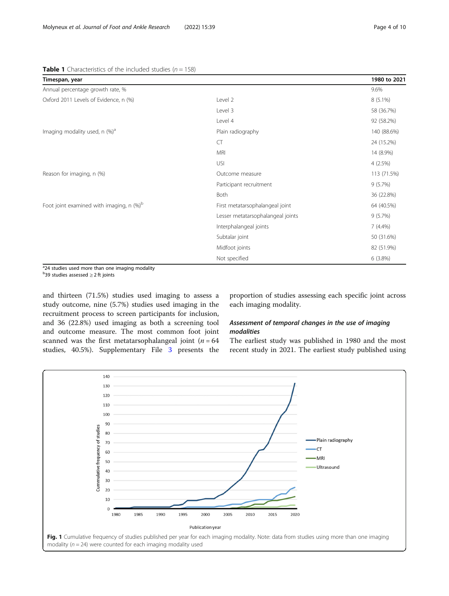# <span id="page-3-0"></span>**Table 1** Characteristics of the included studies ( $n = 158$ )

| Timespan, year                                         |                                   | 1980 to 2021 |
|--------------------------------------------------------|-----------------------------------|--------------|
| Annual percentage growth rate, %                       |                                   | 9.6%         |
| Oxford 2011 Levels of Evidence, n (%)                  | Level 2                           | $8(5.1\%)$   |
|                                                        | Level 3                           | 58 (36.7%)   |
|                                                        | Level 4                           | 92 (58.2%)   |
| Imaging modality used, n (%) <sup>a</sup>              | Plain radiography                 | 140 (88.6%)  |
|                                                        | <b>CT</b>                         | 24 (15.2%)   |
|                                                        | <b>MRI</b>                        | 14 (8.9%)    |
|                                                        | USI                               | $4(2.5\%)$   |
| Reason for imaging, n (%)                              | Outcome measure                   | 113 (71.5%)  |
|                                                        | Participant recruitment           | $9(5.7\%)$   |
|                                                        | Both                              | 36 (22.8%)   |
| Foot joint examined with imaging, $n$ (%) <sup>b</sup> | First metatarsophalangeal joint   | 64 (40.5%)   |
|                                                        | Lesser metatarsophalangeal joints | 9(5.7%)      |
|                                                        | Interphalangeal joints            | $7(4.4\%)$   |
|                                                        | Subtalar joint                    | 50 (31.6%)   |
|                                                        | Midfoot joints                    | 82 (51.9%)   |
|                                                        | Not specified                     | 6(3.8%)      |

<sup>a</sup>24 studies used more than one imaging modality

<sup>b</sup>39 studies assessed ≥ 2 ft joints

and thirteen (71.5%) studies used imaging to assess a study outcome, nine (5.7%) studies used imaging in the recruitment process to screen participants for inclusion, and 36 (22.8%) used imaging as both a screening tool and outcome measure. The most common foot joint scanned was the first metatarsophalangeal joint ( $n = 64$ studies, 40.5%). Supplementary File [3](#page-7-0) presents the

proportion of studies assessing each specific joint across each imaging modality.

# Assessment of temporal changes in the use of imaging modalities

The earliest study was published in 1980 and the most recent study in 2021. The earliest study published using

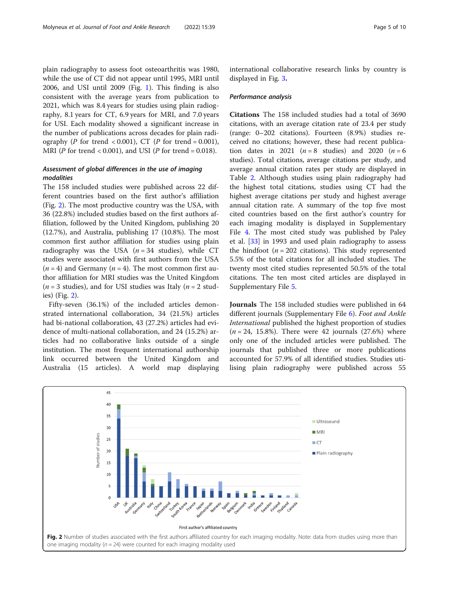plain radiography to assess foot osteoarthritis was 1980, while the use of CT did not appear until 1995, MRI until 2006, and USI until 2009 (Fig. [1\)](#page-3-0). This finding is also consistent with the average years from publication to 2021, which was 8.4 years for studies using plain radiography, 8.1 years for CT, 6.9 years for MRI, and 7.0 years for USI. Each modality showed a significant increase in the number of publications across decades for plain radiography (P for trend < 0.001), CT (P for trend = 0.001), MRI ( $P$  for trend < 0.001), and USI ( $P$  for trend = 0.018).

# Assessment of global differences in the use of imaging modalities

The 158 included studies were published across 22 different countries based on the first author's affiliation (Fig. 2). The most productive country was the USA, with 36 (22.8%) included studies based on the first authors affiliation, followed by the United Kingdom, publishing 20 (12.7%), and Australia, publishing 17 (10.8%). The most common first author affiliation for studies using plain radiography was the USA  $(n = 34 \text{ studies})$ , while CT studies were associated with first authors from the USA  $(n = 4)$  and Germany  $(n = 4)$ . The most common first author affiliation for MRI studies was the United Kingdom  $(n = 3$  studies), and for USI studies was Italy  $(n = 2$  studies) (Fig. 2).

Fifty-seven (36.1%) of the included articles demonstrated international collaboration, 34 (21.5%) articles had bi-national collaboration, 43 (27.2%) articles had evidence of multi-national collaboration, and 24 (15.2%) articles had no collaborative links outside of a single institution. The most frequent international authorship link occurred between the United Kingdom and Australia (15 articles). A world map displaying international collaborative research links by country is displayed in Fig. [3](#page-5-0).

#### Performance analysis

Citations The 158 included studies had a total of 3690 citations, with an average citation rate of 23.4 per study (range: 0–202 citations). Fourteen (8.9%) studies received no citations; however, these had recent publication dates in 2021 ( $n = 8$  studies) and 2020 ( $n = 6$ ) studies). Total citations, average citations per study, and average annual citation rates per study are displayed in Table [2](#page-6-0). Although studies using plain radiography had the highest total citations, studies using CT had the highest average citations per study and highest average annual citation rate. A summary of the top five most cited countries based on the first author's country for each imaging modality is displayed in Supplementary File [4.](#page-7-0) The most cited study was published by Paley et al. [\[33](#page-9-0)] in 1993 and used plain radiography to assess the hindfoot ( $n = 202$  citations). This study represented 5.5% of the total citations for all included studies. The twenty most cited studies represented 50.5% of the total citations. The ten most cited articles are displayed in Supplementary File [5](#page-7-0).

Journals The 158 included studies were published in 64 different journals (Supplementary File [6\)](#page-7-0). Foot and Ankle International published the highest proportion of studies  $(n = 24, 15.8\%)$ . There were 42 journals  $(27.6\%)$  where only one of the included articles were published. The journals that published three or more publications accounted for 57.9% of all identified studies. Studies utilising plain radiography were published across 55

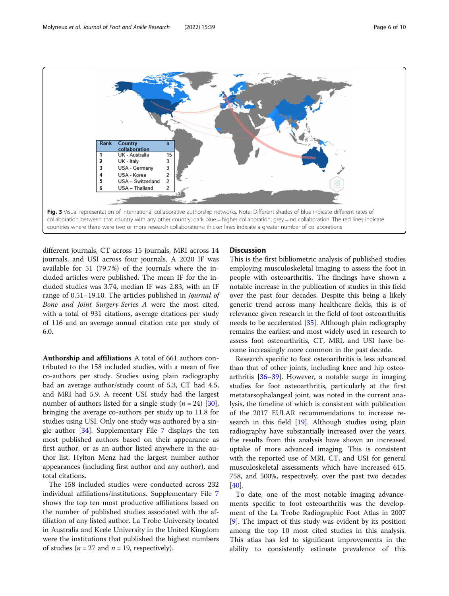<span id="page-5-0"></span>

different journals, CT across 15 journals, MRI across 14 journals, and USI across four journals. A 2020 IF was available for 51 (79.7%) of the journals where the included articles were published. The mean IF for the included studies was 3.74, median IF was 2.83, with an IF range of 0.51–19.10. The articles published in Journal of Bone and Joint Surgery-Series A were the most cited, with a total of 931 citations, average citations per study of 116 and an average annual citation rate per study of 6.0.

Authorship and affiliations A total of 661 authors contributed to the 158 included studies, with a mean of five co-authors per study. Studies using plain radiography had an average author/study count of 5.3, CT had 4.5, and MRI had 5.9. A recent USI study had the largest number of authors listed for a single study  $(n = 24)$  [\[30](#page-8-0)], bringing the average co-authors per study up to 11.8 for studies using USI. Only one study was authored by a single author [\[34\]](#page-9-0). Supplementary File [7](#page-7-0) displays the ten most published authors based on their appearance as first author, or as an author listed anywhere in the author list. Hylton Menz had the largest number author appearances (including first author and any author), and total citations.

The 158 included studies were conducted across 232 individual affiliations/institutions. Supplementary File [7](#page-7-0) shows the top ten most productive affiliations based on the number of published studies associated with the affiliation of any listed author. La Trobe University located in Australia and Keele University in the United Kingdom were the institutions that published the highest numbers of studies ( $n = 27$  and  $n = 19$ , respectively).

# **Discussion**

This is the first bibliometric analysis of published studies employing musculoskeletal imaging to assess the foot in people with osteoarthritis. The findings have shown a notable increase in the publication of studies in this field over the past four decades. Despite this being a likely generic trend across many healthcare fields, this is of relevance given research in the field of foot osteoarthritis needs to be accelerated [[35\]](#page-9-0). Although plain radiography remains the earliest and most widely used in research to assess foot osteoarthritis, CT, MRI, and USI have become increasingly more common in the past decade.

Research specific to foot osteoarthritis is less advanced than that of other joints, including knee and hip osteoarthritis [[36](#page-9-0)–[39](#page-9-0)]. However, a notable surge in imaging studies for foot osteoarthritis, particularly at the first metatarsophalangeal joint, was noted in the current analysis, the timeline of which is consistent with publication of the 2017 EULAR recommendations to increase research in this field [[19](#page-8-0)]. Although studies using plain radiography have substantially increased over the years, the results from this analysis have shown an increased uptake of more advanced imaging. This is consistent with the reported use of MRI, CT, and USI for general musculoskeletal assessments which have increased 615, 758, and 500%, respectively, over the past two decades [[40\]](#page-9-0).

To date, one of the most notable imaging advancements specific to foot osteoarthritis was the development of the La Trobe Radiographic Foot Atlas in 2007 [[9\]](#page-8-0). The impact of this study was evident by its position among the top 10 most cited studies in this analysis. This atlas has led to significant improvements in the ability to consistently estimate prevalence of this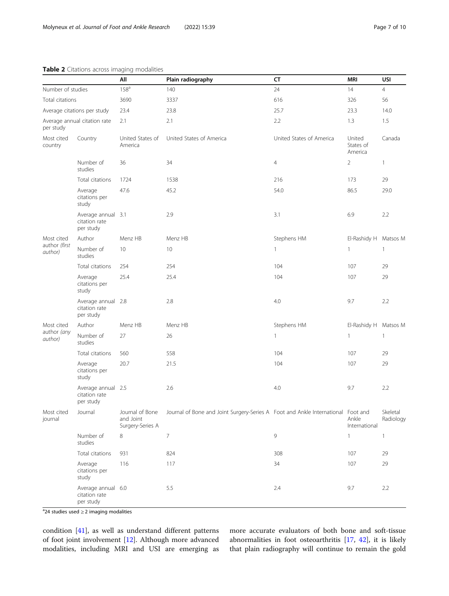|                                           |                                                  | All                                              | Plain radiography                                                                | CT                       | <b>MRI</b>                     | USI                   |
|-------------------------------------------|--------------------------------------------------|--------------------------------------------------|----------------------------------------------------------------------------------|--------------------------|--------------------------------|-----------------------|
| Number of studies                         |                                                  | $158^a$                                          | 140                                                                              | 24                       | 14                             | $\overline{4}$        |
| Total citations                           |                                                  | 3690                                             | 3337                                                                             | 616                      | 326                            | 56                    |
| Average citations per study               |                                                  | 23.4                                             | 23.8                                                                             | 25.7                     | 23.3                           | 14.0                  |
| Average annual citation rate<br>per study |                                                  | 2.1                                              | 2.1                                                                              | 2.2                      | 1.3                            | 1.5                   |
| Most cited<br>country                     | Country                                          | United States of<br>America                      | United States of America                                                         | United States of America | United<br>States of<br>America | Canada                |
|                                           | Number of<br>studies                             | 36                                               | 34                                                                               | $\overline{4}$           | $\overline{2}$                 | $\mathbf{1}$          |
|                                           | Total citations                                  | 1724                                             | 1538                                                                             | 216                      | 173                            | 29                    |
|                                           | Average<br>citations per<br>study                | 47.6                                             | 45.2                                                                             | 54.0                     | 86.5                           | 29.0                  |
|                                           | Average annual 3.1<br>citation rate<br>per study |                                                  | 2.9                                                                              | 3.1                      | 6.9                            | 2.2                   |
| Most cited<br>author (first<br>author)    | Author                                           | Menz HB                                          | Menz HB                                                                          | Stephens HM              | El-Rashidy H Matsos M          |                       |
|                                           | Number of<br>studies                             | 10                                               | 10                                                                               | 1                        | 1                              | $\mathbf{1}$          |
|                                           | Total citations                                  | 254                                              | 254                                                                              | 104                      | 107                            | 29                    |
|                                           | Average<br>citations per<br>study                | 25.4                                             | 25.4                                                                             | 104                      | 107                            | 29                    |
|                                           | Average annual 2.8<br>citation rate<br>per study |                                                  | 2.8                                                                              | 4.0                      | 9.7                            | 2.2                   |
| Most cited<br>author (any<br>author)      | Author                                           | Menz HB                                          | Menz HB                                                                          | Stephens HM              | El-Rashidy H                   | Matsos M              |
|                                           | Number of<br>studies                             | 27                                               | 26                                                                               | 1                        | $\mathbf{1}$                   | $\mathbf{1}$          |
|                                           | Total citations                                  | 560                                              | 558                                                                              | 104                      | 107                            | 29                    |
|                                           | Average<br>citations per<br>study                | 20.7                                             | 21.5                                                                             | 104                      | 107                            | 29                    |
|                                           | Average annual 2.5<br>citation rate<br>per study |                                                  | 2.6                                                                              | 4.0                      | 9.7                            | 2.2                   |
| Most cited<br>journal                     | Journal                                          | Journal of Bone<br>and Joint<br>Surgery-Series A | Journal of Bone and Joint Surgery-Series A Foot and Ankle International Foot and |                          | Ankle<br>International         | Skeletal<br>Radiology |
|                                           | Number of<br>studies                             | 8                                                | $\overline{7}$                                                                   | $\overline{9}$           | $\mathbf{1}$                   | $\mathbf{1}$          |
|                                           | Total citations                                  | 931                                              | 824                                                                              | 308                      | 107                            | 29                    |
|                                           | Average<br>citations per<br>study                | 116                                              | 117                                                                              | 34                       | 107                            | 29                    |
|                                           | Average annual 6.0<br>citation rate<br>per study |                                                  | 5.5                                                                              | 2.4                      | 9.7                            | 2.2                   |

# <span id="page-6-0"></span>Table 2 Citations across imaging modalities

<sup>a</sup>24 studies used ≥ 2 imaging modalities

condition [\[41\]](#page-9-0), as well as understand different patterns of foot joint involvement [\[12\]](#page-8-0). Although more advanced modalities, including MRI and USI are emerging as more accurate evaluators of both bone and soft-tissue abnormalities in foot osteoarthritis [[17,](#page-8-0) [42](#page-9-0)], it is likely that plain radiography will continue to remain the gold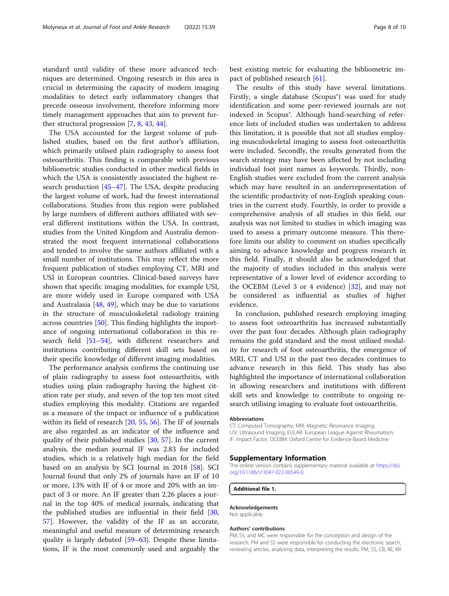<span id="page-7-0"></span>standard until validity of these more advanced techniques are determined. Ongoing research in this area is crucial in determining the capacity of modern imaging modalities to detect early inflammatory changes that precede osseous involvement, therefore informing more timely management approaches that aim to prevent further structural progression [\[7](#page-8-0), [8](#page-8-0), [43,](#page-9-0) [44\]](#page-9-0).

The USA accounted for the largest volume of published studies, based on the first author's affiliation, which primarily utilised plain radiography to assess foot osteoarthritis. This finding is comparable with previous bibliometric studies conducted in other medical fields in which the USA is consistently associated the highest research production [[45](#page-9-0)–[47\]](#page-9-0). The USA, despite producing the largest volume of work, had the fewest international collaborations. Studies from this region were published by large numbers of different authors affiliated with several different institutions within the USA. In contrast, studies from the United Kingdom and Australia demonstrated the most frequent international collaborations and tended to involve the same authors affiliated with a small number of institutions. This may reflect the more frequent publication of studies employing CT, MRI and USI in European countries. Clinical-based surveys have shown that specific imaging modalities, for example USI, are more widely used in Europe compared with USA and Australasia [[48](#page-9-0), [49\]](#page-9-0), which may be due to variations in the structure of musculoskeletal radiology training across countries [[50\]](#page-9-0). This finding highlights the importance of ongoing international collaboration in this research field [[51](#page-9-0)–[54](#page-9-0)], with different researchers and institutions contributing different skill sets based on their specific knowledge of different imaging modalities.

The performance analysis confirms the continuing use of plain radiography to assess foot osteoarthritis, with studies using plain radiography having the highest citation rate per study, and seven of the top ten most cited studies employing this modality. Citations are regarded as a measure of the impact or influence of a publication within its field of research [\[20,](#page-8-0) [55,](#page-9-0) [56\]](#page-9-0). The IF of journals are also regarded as an indicator of the influence and quality of their published studies [[30,](#page-8-0) [57\]](#page-9-0). In the current analysis, the median journal IF was 2.83 for included studies, which is a relatively high median for the field based on an analysis by SCI Journal in 2018 [\[58\]](#page-9-0). SCI Journal found that only 2% of journals have an IF of 10 or more, 13% with IF of 4 or more and 20% with an impact of 3 or more. An IF greater than 2.26 places a journal in the top 40% of medical journals, indicating that the published studies are influential in their field [[30](#page-8-0), [57\]](#page-9-0). However, the validity of the IF as an accurate, meaningful and useful measure of determining research quality is largely debated [[59](#page-9-0)–[63](#page-9-0)]. Despite these limitations, IF is the most commonly used and arguably the best existing metric for evaluating the bibliometric impact of published research [\[61](#page-9-0)].

The results of this study have several limitations. Firstly, a single database (Scopus®) was used for study identification and some peer-reviewed journals are not indexed in Scopus®. Although hand-searching of reference lists of included studies was undertaken to address this limitation, it is possible that not all studies employing musculoskeletal imaging to assess foot osteoarthritis were included. Secondly, the results generated from the search strategy may have been affected by not including individual foot joint names as keywords. Thirdly, non-English studies were excluded from the current analysis which may have resulted in an underrepresentation of the scientific productivity of non-English speaking countries in the current study. Fourthly, in order to provide a comprehensive analysis of all studies in this field, our analysis was not limited to studies in which imaging was used to assess a primary outcome measure. This therefore limits our ability to comment on studies specifically aiming to advance knowledge and progress research in this field. Finally, it should also be acknowledged that the majority of studies included in this analysis were representative of a lower level of evidence according to the OCEBM (Level 3 or 4 evidence) [[32](#page-9-0)], and may not be considered as influential as studies of higher evidence.

In conclusion, published research employing imaging to assess foot osteoarthritis has increased substantially over the past four decades. Although plain radiography remains the gold standard and the most utilised modality for research of foot osteoarthritis, the emergence of MRI, CT and USI in the past two decades continues to advance research in this field. This study has also highlighted the importance of international collaboration in allowing researchers and institutions with different skill sets and knowledge to contribute to ongoing research utilising imaging to evaluate foot osteoarthritis.

#### Abbreviations

CT: Computed Tomography; MRI: Magnetic Resonance Imaging; USI: Ultrasound Imaging; EULAR: European League Against Rheumatism; IF: Impact Factor; OCEBM: Oxford Centre for Evidence-Based Medicine.

#### Supplementary Information

The online version contains supplementary material available at [https://doi.](https://doi.org/10.1186/s13047-022-00549-0) [org/10.1186/s13047-022-00549-0.](https://doi.org/10.1186/s13047-022-00549-0)

# Additional file 1.

#### Acknowledgements

Not applicable.

#### Authors' contributions

PM, SS, and MC were responsible for the conception and design of the research. PM and SS were responsible for conducting the electronic search, reviewing articles, analysing data, interpreting the results. PM, SS, CB, RE, KR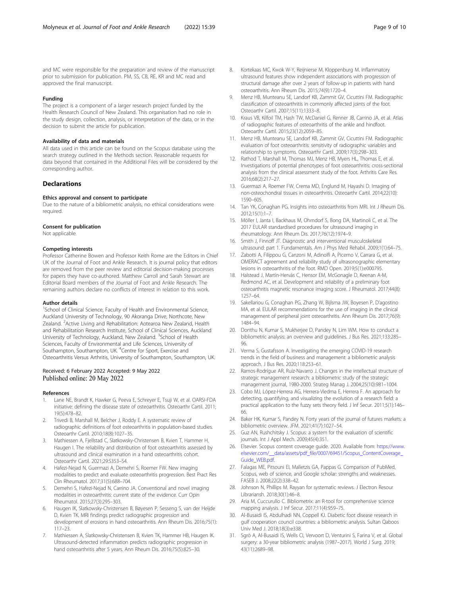<span id="page-8-0"></span>and MC were responsible for the preparation and review of the manuscript prior to submission for publication. PM, SS, CB, RE, KR and MC read and approved the final manuscript.

#### Funding

The project is a component of a larger research project funded by the Health Research Council of New Zealand. This organisation had no role in the study design, collection, analysis, or interpretation of the data, or in the decision to submit the article for publication.

#### Availability of data and materials

All data used in this article can be found on the Scopus database using the search strategy outlined in the Methods section. Reasonable requests for data beyond that contained in the Additional Files will be considered by the corresponding author.

### **Declarations**

#### Ethics approval and consent to participate

Due to the nature of a bibliometric analysis, no ethical considerations were required.

#### Consent for publication

Not applicable.

#### Competing interests

Professor Catherine Bowen and Professor Keith Rome are the Editors in Chief UK of the Journal of Foot and Ankle Research. It is journal policy that editors are removed from the peer review and editorial decision-making processes for papers they have co-authored. Matthew Carroll and Sarah Stewart are Editorial Board members of the Journal of Foot and Ankle Research. The remaining authors declare no conflicts of interest in relation to this work.

#### Author details

<sup>1</sup>School of Clinical Science, Faculty of Health and Environmental Science, Auckland University of Technology, 90 Akoranga Drive, Northcote, New Zealand. <sup>2</sup> Active Living and Rehabilitation: Aotearoa New Zealand, Health and Rehabilitation Research Institute, School of Clinical Sciences, Auckland University of Technology, Auckland, New Zealand. <sup>3</sup>School of Health Sciences, Faculty of Environmental and Life Sciences, University of Southampton, Southampton, UK. <sup>4</sup>Centre for Sport, Exercise and Osteoarthritis Versus Arthritis, University of Southampton, Southampton, UK.

# Received: 6 February 2022 Accepted: 9 May 2022<br>Published online: 20 May 2022

#### References

- 1. Lane NE, Brandt K, Hawker G, Peeva E, Schreyer E, Tsuji W, et al. OARSI-FDA initiative: defining the disease state of osteoarthritis. Osteoarthr Cartil. 2011; 19(5):478–82.
- Trivedi B, Marshall M, Belcher J, Roddy E. A systematic review of radiographic definitions of foot osteoarthritis in population-based studies. Osteoarthr Cartil. 2010;18(8):1027–35.
- 3. Mathiessen A, Fjellstad C, Slatkowsky-Christensen B, Kvien T, Hammer H, Haugen I. The reliability and distribution of foot osteoarthritis assessed by ultrasound and clinical examination in a hand osteoarthritis cohort. Osteoarthr Cartil. 2021;29:S353–S4.
- Hafezi-Nejad N, Guermazi A, Demehri S, Roemer FW. New imaging modalities to predict and evaluate osteoarthritis progression. Best Pract Res Clin Rheumatol. 2017;31(5):688–704.
- 5. Demehri S, Hafezi-Nejad N, Carrino JA. Conventional and novel imaging modalities in osteoarthritis: current state of the evidence. Curr Opin Rheumatol. 2015;27(3):295–303.
- 6. Haugen IK, Slatkowsky-Christensen B, Bøyesen P, Sesseng S, van der Heijde D, Kvien TK. MRI findings predict radiographic progression and development of erosions in hand osteoarthritis. Ann Rheum Dis. 2016;75(1): 117–23.
- 7. Mathiessen A, Slatkowsky-Christensen B, Kvien TK, Hammer HB, Haugen IK. Ultrasound-detected inflammation predicts radiographic progression in hand osteoarthritis after 5 years. Ann Rheum Dis. 2016;75(5):825–30.
- 8. Kortekaas MC, Kwok W-Y, Reijnierse M, Kloppenburg M. Inflammatory ultrasound features show independent associations with progression of structural damage after over 2 years of follow-up in patients with hand osteoarthritis. Ann Rheum Dis. 2015;74(9):1720–4.
- 9. Menz HB, Munteanu SE, Landorf KB, Zammit GV, Cicuttini FM. Radiographic classification of osteoarthritis in commonly affected joints of the foot. Osteoarthr Cartil. 2007;15(11):1333–8.
- 10. Kraus VB, Kilfoil TM, Hash TW, McDaniel G, Renner JB, Carrino JA, et al. Atlas of radiographic features of osteoarthritis of the ankle and hindfoot. Osteoarthr Cartil. 2015;23(12):2059–85.
- 11. Menz HB, Munteanu SE, Landorf KB, Zammit GV, Cicuttini FM. Radiographic evaluation of foot osteoarthritis: sensitivity of radiographic variables and relationship to symptoms. Osteoarthr Cartil. 2009;17(3):298–303.
- 12. Rathod T, Marshall M, Thomas MJ, Menz HB, Myers HL, Thomas E, et al. Investigations of potential phenotypes of foot osteoarthritis: cross-sectional analysis from the clinical assessment study of the foot. Arthritis Care Res. 2016;68(2):217–27.
- 13. Guermazi A, Roemer FW, Crema MD, Englund M, Hayashi D. Imaging of non-osteochondral tissues in osteoarthritis. Osteoarthr Cartil. 2014;22(10): 1590–605.
- 14. Tan YK, Conaghan PG. Insights into osteoarthritis from MRI. Int J Rheum Dis. 2012;15(1):1–7.
- 15. Möller I, Janta I, Backhaus M, Ohrndorf S, Bong DA, Martinoli C, et al. The 2017 EULAR standardised procedures for ultrasound imaging in rheumatology. Ann Rheum Dis. 2017;76(12):1974–9.
- 16. Smith J, Finnoff JT. Diagnostic and interventional musculoskeletal ultrasound: part 1. Fundamentals. Am J Phys Med Rehabil. 2009;1(1):64–75.
- 17. Zabotti A, Filippou G, Canzoni M, Adinolfi A, Picerno V, Carrara G, et al. OMERACT agreement and reliability study of ultrasonographic elementary lesions in osteoarthritis of the foot. RMD Open. 2019;5(1):e000795.
- 18. Halstead J, Martín-Hervás C, Hensor EM, McGonagle D, Keenan A-M, Redmond AC, et al. Development and reliability of a preliminary foot osteoarthritis magnetic resonance imaging score. J Rheumatol. 2017;44(8): 1257–64.
- 19. Sakellariou G, Conaghan PG, Zhang W, Bijlsma JW, Boyesen P, D'agostino MA, et al. EULAR recommendations for the use of imaging in the clinical management of peripheral joint osteoarthritis. Ann Rheum Dis. 2017;76(9): 1484–94.
- 20. Donthu N, Kumar S, Mukherjee D, Pandey N, Lim WM. How to conduct a bibliometric analysis: an overview and guidelines. J Bus Res. 2021;133:285– 96.
- 21. Verma S, Gustafsson A. Investigating the emerging COVID-19 research trends in the field of business and management: a bibliometric analysis approach. J Bus Res. 2020;118:253–61.
- 22. Ramos-Rodrígue AR, Ruíz-Navarro J. Changes in the intellectual structure of strategic management research: a bibliometric study of the strategic management journal, 1980-2000. Strateg Manag J. 2004;25(10):981–1004.
- 23. Cobo MJ, López-Herrera AG, Herrera-Viedma E, Herrera F. An approach for detecting, quantifying, and visualizing the evolution of a research field: a practical application to the fuzzy sets theory field. J Inf Secur. 2011;5(1):146– 66.
- 24. Baker HK, Kumar S, Pandey N. Forty years of the journal of futures markets: a bibliometric overview. JFM. 2021;41(7):1027–54.
- 25. Guz AN, Rushchitsky J. Scopus: a system for the evaluation of scientific journals. Int J Appl Mech. 2009;45(4):351.
- 26. Elsevier. Scopus content coverage guide. 2020. Available from: [https://www.](https://www.elsevier.com/__data/assets/pdf_file/0007/69451/Scopus_ContentCoverage_Guide_WEB.pdf) [elsevier.com/\\_\\_data/assets/pdf\\_file/0007/69451/Scopus\\_ContentCoverage\\_](https://www.elsevier.com/__data/assets/pdf_file/0007/69451/Scopus_ContentCoverage_Guide_WEB.pdf) [Guide\\_WEB.pdf.](https://www.elsevier.com/__data/assets/pdf_file/0007/69451/Scopus_ContentCoverage_Guide_WEB.pdf)
- 27. Falagas ME, Pitsouni EI, Malietzis GA, Pappas G. Comparison of PubMed, Scopus, web of science, and Google scholar: strengths and weaknesses. FASEB J. 2008;22(2):338–42.
- 28. Johnson N, Phillips M. Rayyan for systematic reviews. J Electron Resour Librariansh. 2018;30(1):46–8.
- 29. Aria M, Cuccurullo C. Bibliometrix: an R-tool for comprehensive science mapping analysis. J Inf Secur. 2017;11(4):959–75.
- 30. Al-Busaidi IS, Abdulhadi NN, Coppell KJ. Diabetic foot disease research in gulf cooperation council countries: a bibliometric analysis. Sultan Qaboos Univ Med J. 2018;18(3):e338.
- 31. Sgrò A, Al-Busaidi IS, Wells CI, Vervoort D, Venturini S, Farina V, et al. Global surgery: a 30-year bibliometric analysis (1987–2017). World J Surg. 2019; 43(11):2689–98.